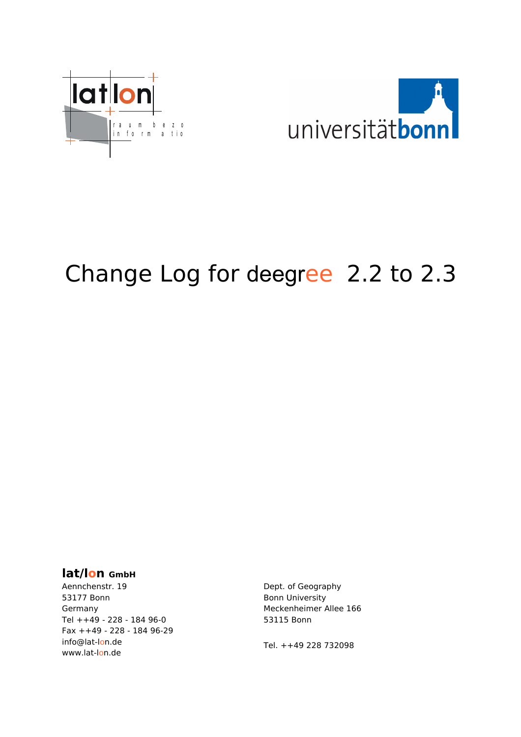



# Change Log for deegree 2.2 to 2.3

#### **lat/lon GmbH**

Aennchenstr. 19 53177 Bonn Germany Tel ++49 - 228 - 184 96-0 Fax ++49 - 228 - 184 96-29 info@lat-lon.de www.lat-lon.de

Dept. of Geography Bonn University Meckenheimer Allee 166 53115 Bonn

[Tel. ++49 228 732098](http://www.giub.uni-bonn.de/)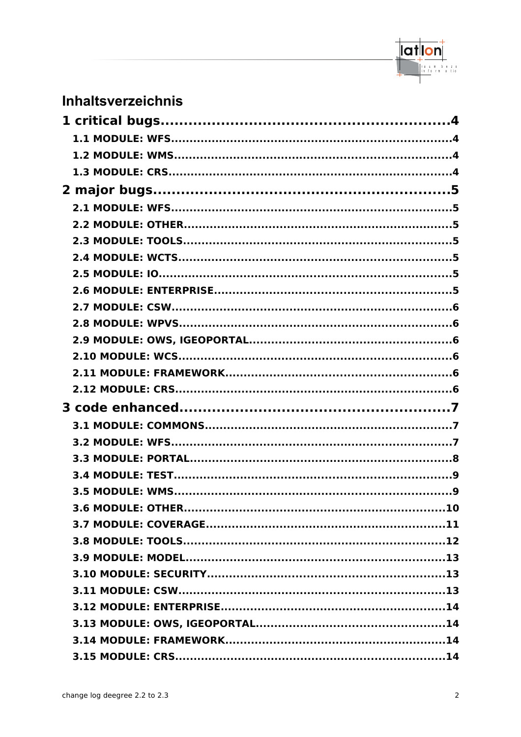

# Inhaltsverzeichnis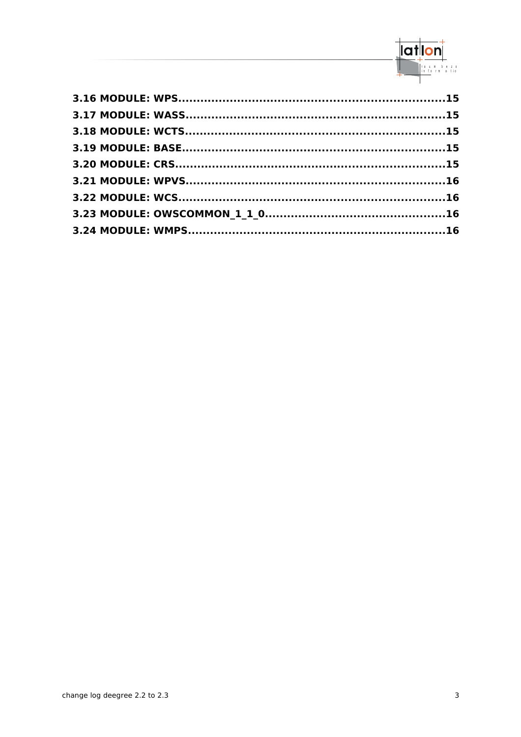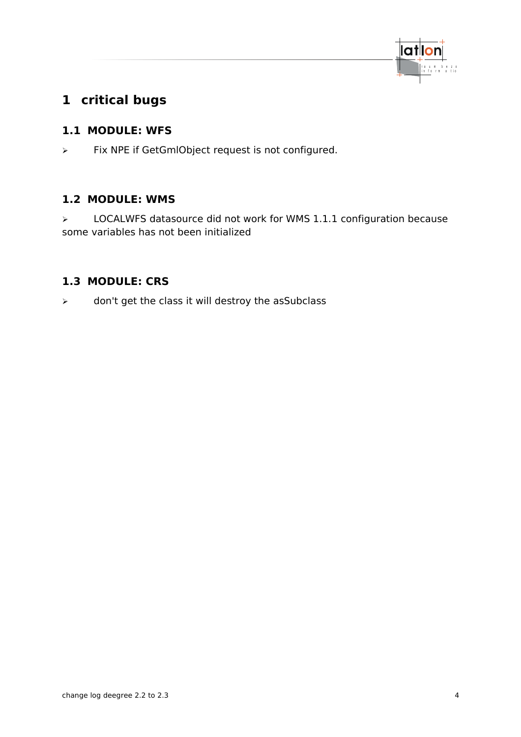

# <span id="page-3-3"></span>**1 critical bugs**

# <span id="page-3-2"></span>**1.1 MODULE: WFS**

➢ Fix NPE if GetGmlObject request is not configured.

# <span id="page-3-1"></span>**1.2 MODULE: WMS**

➢ LOCALWFS datasource did not work for WMS 1.1.1 configuration because some variables has not been initialized

# <span id="page-3-0"></span>**1.3 MODULE: CRS**

 $\triangleright$  don't get the class it will destroy the asSubclass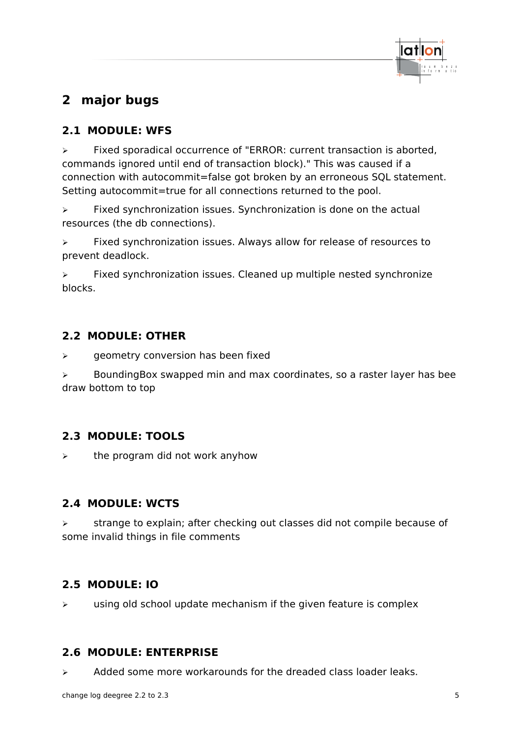

# <span id="page-4-6"></span>**2 major bugs**

# <span id="page-4-5"></span>**2.1 MODULE: WFS**

➢ Fixed sporadical occurrence of "ERROR: current transaction is aborted, commands ignored until end of transaction block)." This was caused if a connection with autocommit=false got broken by an erroneous SQL statement. Setting autocommit=true for all connections returned to the pool.

➢ Fixed synchronization issues. Synchronization is done on the actual resources (the db connections).

➢ Fixed synchronization issues. Always allow for release of resources to prevent deadlock.

➢ Fixed synchronization issues. Cleaned up multiple nested synchronize blocks.

# <span id="page-4-4"></span>**2.2 MODULE: OTHER**

➢ geometry conversion has been fixed

➢ BoundingBox swapped min and max coordinates, so a raster layer has bee draw bottom to top

# <span id="page-4-3"></span>**2.3 MODULE: TOOLS**

 $\epsilon$  the program did not work anyhow

# <span id="page-4-2"></span>**2.4 MODULE: WCTS**

➢ strange to explain; after checking out classes did not compile because of some invalid things in file comments

# <span id="page-4-1"></span>**2.5 MODULE: IO**

 $\triangleright$  using old school update mechanism if the given feature is complex

# <span id="page-4-0"></span>**2.6 MODULE: ENTERPRISE**

 $\triangleright$  Added some more workarounds for the dreaded class loader leaks.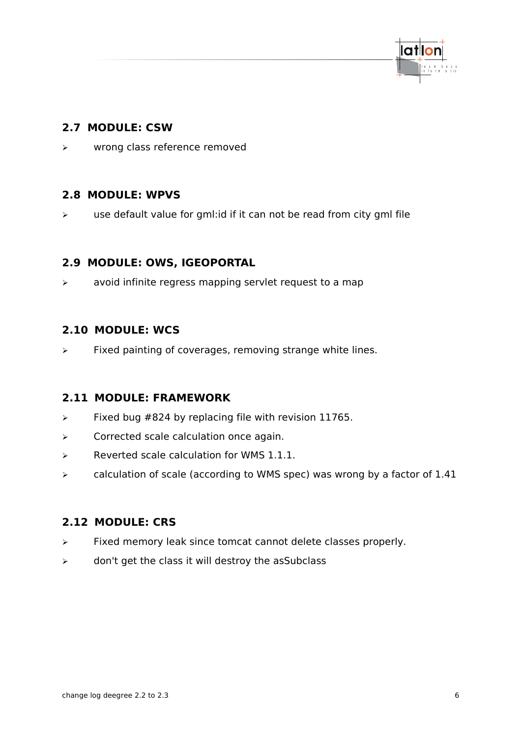

## <span id="page-5-5"></span>**2.7 MODULE: CSW**

➢ wrong class reference removed

#### <span id="page-5-4"></span>**2.8 MODULE: WPVS**

➢ use default value for gml:id if it can not be read from city gml file

#### <span id="page-5-3"></span>**2.9 MODULE: OWS, IGEOPORTAL**

➢ avoid infinite regress mapping servlet request to a map

#### <span id="page-5-2"></span>**2.10 MODULE: WCS**

 $\triangleright$  Fixed painting of coverages, removing strange white lines.

#### <span id="page-5-1"></span>**2.11 MODULE: FRAMEWORK**

- $\triangleright$  Fixed bug #824 by replacing file with revision 11765.
- ➢ Corrected scale calculation once again.
- $\triangleright$  Reverted scale calculation for WMS 1.1.1.
- ➢ calculation of scale (according to WMS spec) was wrong by a factor of 1.41

#### <span id="page-5-0"></span>**2.12 MODULE: CRS**

- ➢ Fixed memory leak since tomcat cannot delete classes properly.
- $\triangleright$  don't get the class it will destroy the asSubclass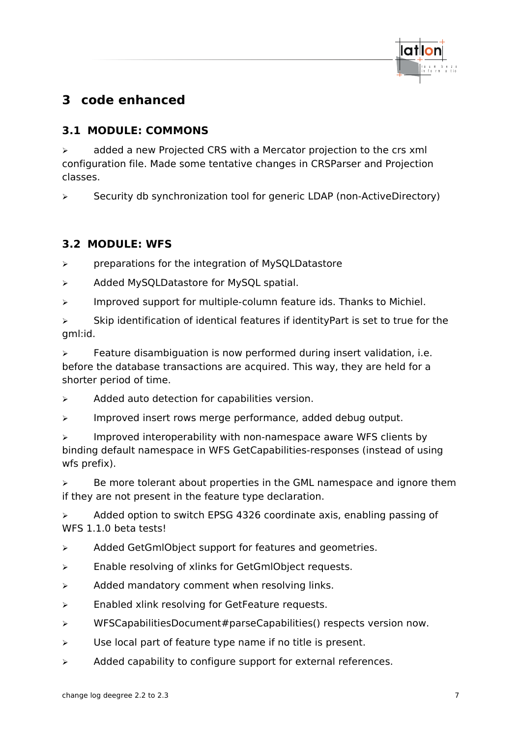

# <span id="page-6-2"></span>**3 code enhanced**

# <span id="page-6-1"></span>**3.1 MODULE: COMMONS**

 $\geq$  added a new Projected CRS with a Mercator projection to the crs xml configuration file. Made some tentative changes in CRSParser and Projection classes.

➢ Security db synchronization tool for generic LDAP (non-ActiveDirectory)

# <span id="page-6-0"></span>**3.2 MODULE: WFS**

➢ preparations for the integration of MySQLDatastore

- ➢ Added MySQLDatastore for MySQL spatial.
- ➢ Improved support for multiple-column feature ids. Thanks to Michiel.

 $\triangleright$  Skip identification of identical features if identityPart is set to true for the gml:id.

 $\geq$  Feature disambiguation is now performed during insert validation, i.e. before the database transactions are acquired. This way, they are held for a shorter period of time.

 $\triangleright$  Added auto detection for capabilities version.

➢ Improved insert rows merge performance, added debug output.

 $\triangleright$  Improved interoperability with non-namespace aware WFS clients by binding default namespace in WFS GetCapabilities-responses (instead of using wfs prefix).

 $\geq$  Be more tolerant about properties in the GML namespace and ignore them if they are not present in the feature type declaration.

 $\triangleright$  Added option to switch EPSG 4326 coordinate axis, enabling passing of WFS 1.1.0 beta tests!

- ➢ Added GetGmlObject support for features and geometries.
- ➢ Enable resolving of xlinks for GetGmlObject requests.
- $\triangleright$  Added mandatory comment when resolving links.
- $\triangleright$  Enabled xlink resolving for GetFeature requests.
- ➢ WFSCapabilitiesDocument#parseCapabilities() respects version now.
- $\triangleright$  Use local part of feature type name if no title is present.
- $\triangleright$  Added capability to configure support for external references.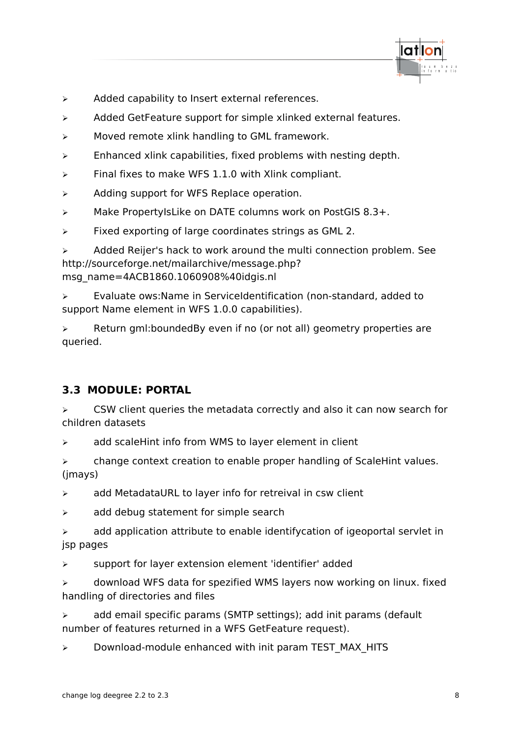

- ➢ Added capability to Insert external references.
- ➢ Added GetFeature support for simple xlinked external features.
- ➢ Moved remote xlink handling to GML framework.
- ➢ Enhanced xlink capabilities, fixed problems with nesting depth.
- ➢ Final fixes to make WFS 1.1.0 with Xlink compliant.
- ➢ Adding support for WFS Replace operation.
- ➢ Make PropertyIsLike on DATE columns work on PostGIS 8.3+.
- ➢ Fixed exporting of large coordinates strings as GML 2.

 $\triangleright$  Added Reijer's hack to work around the multi connection problem. See http://sourceforge.net/mailarchive/message.php? msg\_name=4ACB1860.1060908%40idgis.nl

➢ Evaluate ows:Name in ServiceIdentification (non-standard, added to support Name element in WFS 1.0.0 capabilities).

 $\triangleright$  Return gml: bounded By even if no (or not all) geometry properties are queried.

# <span id="page-7-0"></span>**3.3 MODULE: PORTAL**

 $\triangleright$  CSW client queries the metadata correctly and also it can now search for children datasets

➢ add scaleHint info from WMS to layer element in client

➢ change context creation to enable proper handling of ScaleHint values. (jmays)

 $\triangleright$  add MetadataURL to layer info for retreival in csw client

 $\geq$  add debug statement for simple search

 $\triangleright$  add application attribute to enable identifycation of igeoportal servlet in jsp pages

➢ support for layer extension element 'identifier' added

➢ download WFS data for spezified WMS layers now working on linux. fixed handling of directories and files

➢ add email specific params (SMTP settings); add init params (default number of features returned in a WFS GetFeature request).

 $\triangleright$  Download-module enhanced with init param TEST MAX HITS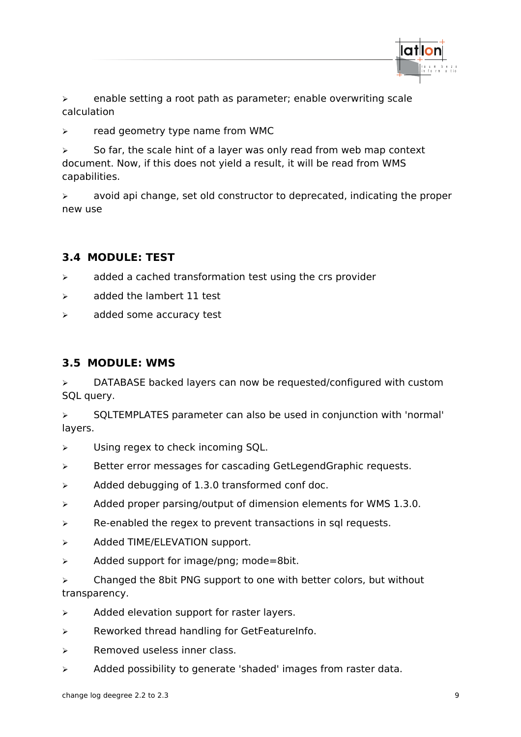

➢ enable setting a root path as parameter; enable overwriting scale calculation

➢ read geometry type name from WMC

 $\triangleright$  So far, the scale hint of a layer was only read from web map context document. Now, if this does not yield a result, it will be read from WMS capabilities.

➢ avoid api change, set old constructor to deprecated, indicating the proper new use

## <span id="page-8-1"></span>**3.4 MODULE: TEST**

- $\triangleright$  added a cached transformation test using the crs provider
- ➢ added the lambert 11 test
- ➢ added some accuracy test

#### <span id="page-8-0"></span>**3.5 MODULE: WMS**

➢ DATABASE backed layers can now be requested/configured with custom SQL query.

➢ SQLTEMPLATES parameter can also be used in conjunction with 'normal' layers.

- ➢ Using regex to check incoming SQL.
- ➢ Better error messages for cascading GetLegendGraphic requests.
- $\geq$  Added debugging of 1.3.0 transformed conf doc.
- $\triangleright$  Added proper parsing/output of dimension elements for WMS 1.3.0.
- $\triangleright$  Re-enabled the regex to prevent transactions in sql requests.
- ➢ Added TIME/ELEVATION support.
- $\geq$  Added support for image/png; mode=8bit.

 $\triangleright$  Changed the 8bit PNG support to one with better colors, but without transparency.

- $\triangleright$  Added elevation support for raster layers.
- ➢ Reworked thread handling for GetFeatureInfo.
- ➢ Removed useless inner class.
- ➢ Added possibility to generate 'shaded' images from raster data.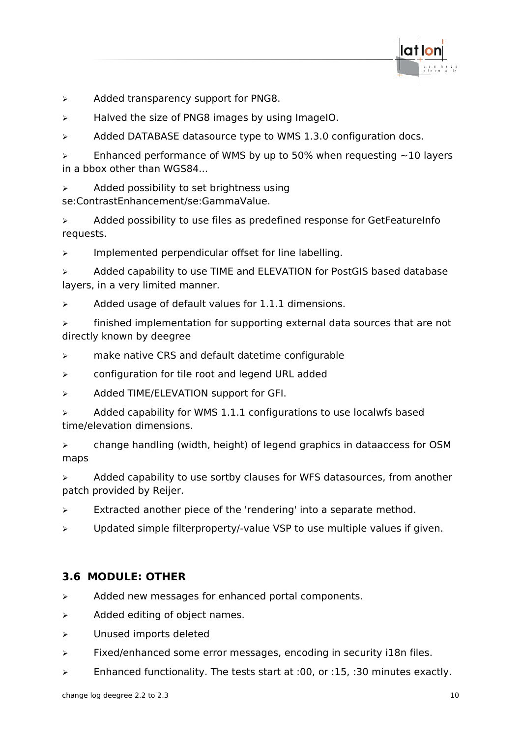

- ➢ Added transparency support for PNG8.
- $\triangleright$  Halved the size of PNG8 images by using ImageIO.
- $\triangleright$  Added DATABASE datasource type to WMS 1.3.0 configuration docs.

 $\ge$  Enhanced performance of WMS by up to 50% when requesting  $\sim$ 10 layers in a bbox other than WGS84...

 $\triangleright$  Added possibility to set brightness using se:ContrastEnhancement/se:GammaValue.

➢ Added possibility to use files as predefined response for GetFeatureInfo requests.

➢ Implemented perpendicular offset for line labelling.

➢ Added capability to use TIME and ELEVATION for PostGIS based database layers, in a very limited manner.

 $\triangleright$  Added usage of default values for 1.1.1 dimensions.

 $\triangleright$  finished implementation for supporting external data sources that are not directly known by deegree

- ➢ make native CRS and default datetime configurable
- ➢ configuration for tile root and legend URL added
- ➢ Added TIME/ELEVATION support for GFI.
- $\triangleright$  Added capability for WMS 1.1.1 configurations to use localwfs based time/elevation dimensions.

➢ change handling (width, height) of legend graphics in dataaccess for OSM maps

➢ Added capability to use sortby clauses for WFS datasources, from another patch provided by Reijer.

- $\triangleright$  Extracted another piece of the 'rendering' into a separate method.
- ➢ Updated simple filterproperty/-value VSP to use multiple values if given.

#### <span id="page-9-0"></span>**3.6 MODULE: OTHER**

- ➢ Added new messages for enhanced portal components.
- $\triangleright$  Added editing of object names.
- ➢ Unused imports deleted
- ➢ Fixed/enhanced some error messages, encoding in security i18n files.
- ➢ Enhanced functionality. The tests start at :00, or :15, :30 minutes exactly.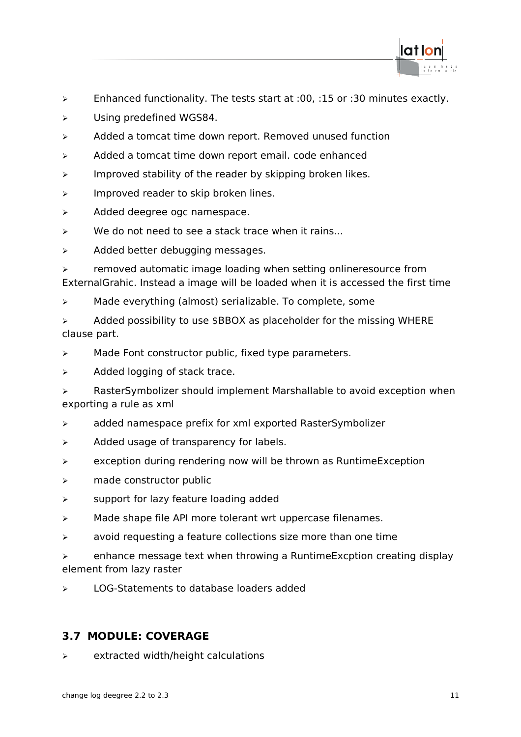

- ➢ Enhanced functionality. The tests start at :00, :15 or :30 minutes exactly.
- ➢ Using predefined WGS84.
- ➢ Added a tomcat time down report. Removed unused function
- ➢ Added a tomcat time down report email. code enhanced
- $\triangleright$  Improved stability of the reader by skipping broken likes.
- $\triangleright$  Improved reader to skip broken lines.
- ➢ Added deegree ogc namespace.
- $\triangleright$  We do not need to see a stack trace when it rains...
- $\triangleright$  Added better debugging messages.

➢ removed automatic image loading when setting onlineresource from ExternalGrahic. Instead a image will be loaded when it is accessed the first time

➢ Made everything (almost) serializable. To complete, some

 $\triangleright$  Added possibility to use \$BBOX as placeholder for the missing WHERE clause part.

- ➢ Made Font constructor public, fixed type parameters.
- $\triangleright$  Added logging of stack trace.

➢ RasterSymbolizer should implement Marshallable to avoid exception when exporting a rule as xml

- ➢ added namespace prefix for xml exported RasterSymbolizer
- ➢ Added usage of transparency for labels.
- ➢ exception during rendering now will be thrown as RuntimeException
- ➢ made constructor public
- ➢ support for lazy feature loading added
- ➢ Made shape file API more tolerant wrt uppercase filenames.
- ➢ avoid requesting a feature collections size more than one time
- $\triangleright$  enhance message text when throwing a Runtime Excption creating display element from lazy raster
- ➢ LOG-Statements to database loaders added

# <span id="page-10-0"></span>**3.7 MODULE: COVERAGE**

➢ extracted width/height calculations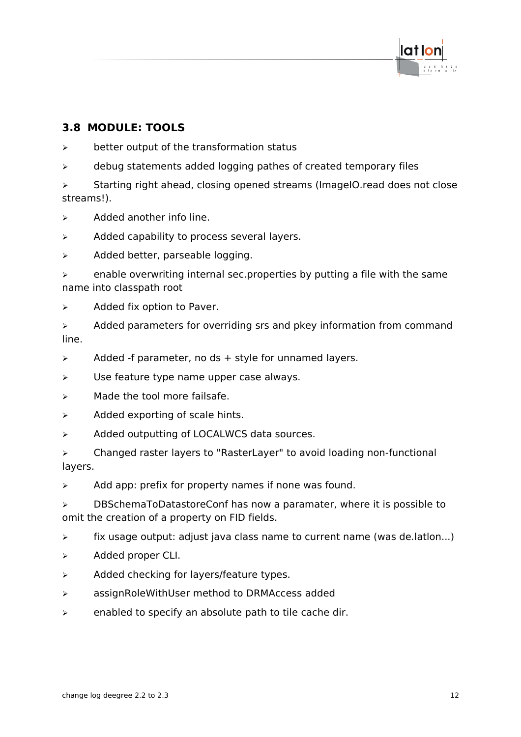

# <span id="page-11-0"></span>**3.8 MODULE: TOOLS**

- ➢ better output of the transformation status
- ➢ debug statements added logging pathes of created temporary files

➢ Starting right ahead, closing opened streams (ImageIO.read does not close streams!).

- $\triangleright$  Added another info line.
- ➢ Added capability to process several layers.
- ➢ Added better, parseable logging.
- $\triangleright$  enable overwriting internal sec.properties by putting a file with the same name into classpath root
- $\triangleright$  Added fix option to Paver.
- $\triangleright$  Added parameters for overriding srs and pkey information from command line.
- $\triangleright$  Added -f parameter, no ds + style for unnamed layers.
- $\triangleright$  Use feature type name upper case always.
- $\triangleright$  Made the tool more failsafe.
- $\triangleright$  Added exporting of scale hints.
- ➢ Added outputting of LOCALWCS data sources.
- ➢ Changed raster layers to "RasterLayer" to avoid loading non-functional layers.
- ➢ Add app: prefix for property names if none was found.
- ➢ DBSchemaToDatastoreConf has now a paramater, where it is possible to omit the creation of a property on FID fields.
- ➢ fix usage output: adjust java class name to current name (was de.latlon...)
- ➢ Added proper CLI.
- ➢ Added checking for layers/feature types.
- ➢ assignRoleWithUser method to DRMAccess added
- $\triangleright$  enabled to specify an absolute path to tile cache dir.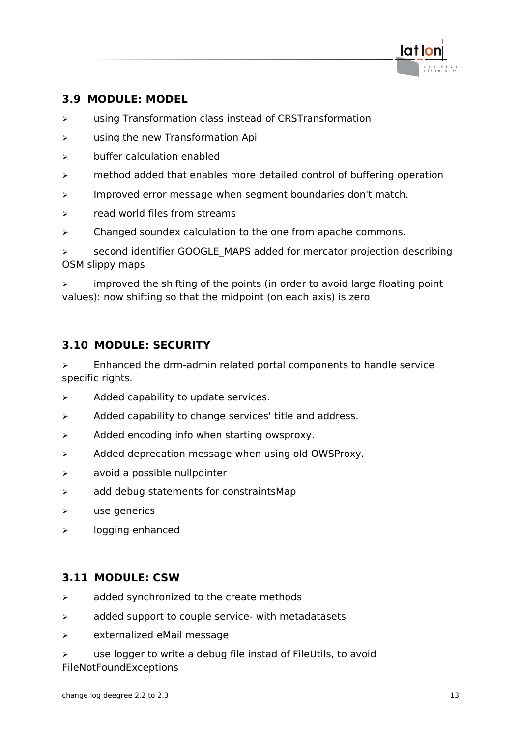

# <span id="page-12-2"></span>**3.9 MODULE: MODEL**

- ➢ using Transformation class instead of CRSTransformation
- ➢ using the new Transformation Api
- ➢ buffer calculation enabled
- $\triangleright$  method added that enables more detailed control of buffering operation
- ➢ Improved error message when segment boundaries don't match.
- ➢ read world files from streams
- $\triangleright$  Changed soundex calculation to the one from apache commons.

➢ second identifier GOOGLE\_MAPS added for mercator projection describing OSM slippy maps

 $\triangleright$  improved the shifting of the points (in order to avoid large floating point values): now shifting so that the midpoint (on each axis) is zero

# <span id="page-12-1"></span>**3.10 MODULE: SECURITY**

 $\triangleright$  Enhanced the drm-admin related portal components to handle service specific rights.

- $\triangleright$  Added capability to update services.
- $\triangleright$  Added capability to change services' title and address.
- ➢ Added encoding info when starting owsproxy.
- $\triangleright$  Added deprecation message when using old OWSProxy.
- $\triangleright$  avoid a possible nullpointer
- ➢ add debug statements for constraintsMap
- ➢ use generics
- ➢ logging enhanced

# <span id="page-12-0"></span>**3.11 MODULE: CSW**

- $\triangleright$  added synchronized to the create methods
- $\triangleright$  added support to couple service- with metadatasets
- ➢ externalized eMail message

 $\triangleright$  use logger to write a debug file instad of FileUtils, to avoid FileNotFoundExceptions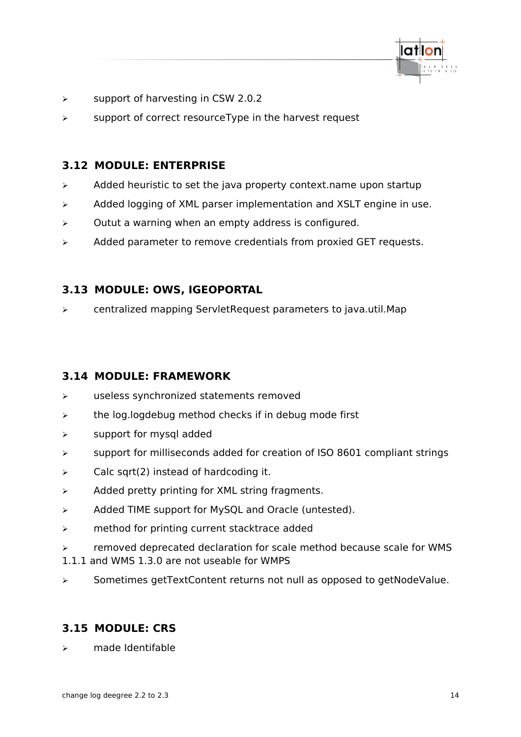

- ➢ support of harvesting in CSW 2.0.2
- ➢ support of correct resourceType in the harvest request

## <span id="page-13-3"></span>**3.12 MODULE: ENTERPRISE**

- ➢ Added heuristic to set the java property context.name upon startup
- ➢ Added logging of XML parser implementation and XSLT engine in use.
- $\triangleright$  Outut a warning when an empty address is configured.
- ➢ Added parameter to remove credentials from proxied GET requests.

## <span id="page-13-2"></span>**3.13 MODULE: OWS, IGEOPORTAL**

➢ centralized mapping ServletRequest parameters to java.util.Map

#### <span id="page-13-1"></span>**3.14 MODULE: FRAMEWORK**

- ➢ useless synchronized statements removed
- $\triangleright$  the log.logdebug method checks if in debug mode first
- ➢ support for mysql added
- ➢ support for milliseconds added for creation of ISO 8601 compliant strings
- $\triangleright$  Calc sqrt(2) instead of hardcoding it.
- ➢ Added pretty printing for XML string fragments.
- ➢ Added TIME support for MySQL and Oracle (untested).
- ➢ method for printing current stacktrace added
- ➢ removed deprecated declaration for scale method because scale for WMS
- 1.1.1 and WMS 1.3.0 are not useable for WMPS
- ➢ Sometimes getTextContent returns not null as opposed to getNodeValue.

# <span id="page-13-0"></span>**3.15 MODULE: CRS**

➢ made Identifable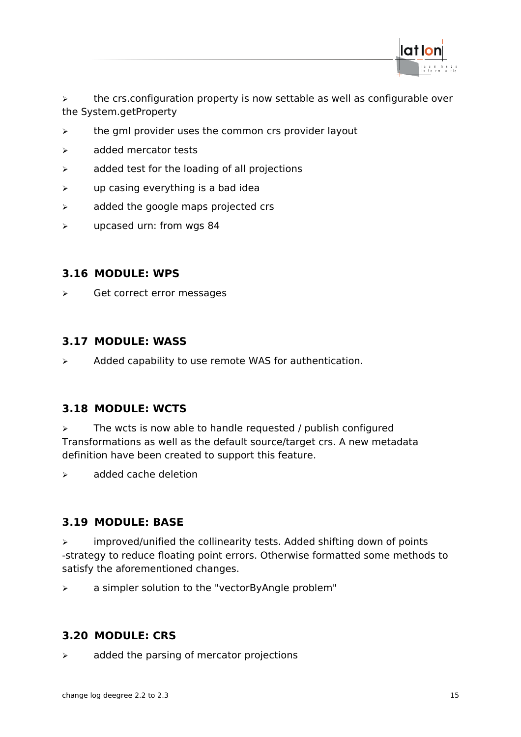

➢ the crs.configuration property is now settable as well as configurable over the System.getProperty

- ➢ the gml provider uses the common crs provider layout
- ➢ added mercator tests
- $\triangleright$  added test for the loading of all projections
- $\triangleright$  up casing everything is a bad idea
- $\triangleright$  added the google maps projected crs
- ➢ upcased urn: from wgs 84

#### <span id="page-14-4"></span>**3.16 MODULE: WPS**

➢ Get correct error messages

#### <span id="page-14-3"></span>**3.17 MODULE: WASS**

 $\triangleright$  Added capability to use remote WAS for authentication.

#### <span id="page-14-2"></span>**3.18 MODULE: WCTS**

 $\triangleright$  The wcts is now able to handle requested / publish configured Transformations as well as the default source/target crs. A new metadata definition have been created to support this feature.

 $\triangleright$  added cache deletion

#### <span id="page-14-1"></span>**3.19 MODULE: BASE**

 $\triangleright$  improved/unified the collinearity tests. Added shifting down of points -strategy to reduce floating point errors. Otherwise formatted some methods to satisfy the aforementioned changes.

➢ a simpler solution to the "vectorByAngle problem"

#### <span id="page-14-0"></span>**3.20 MODULE: CRS**

 $\triangleright$  added the parsing of mercator projections